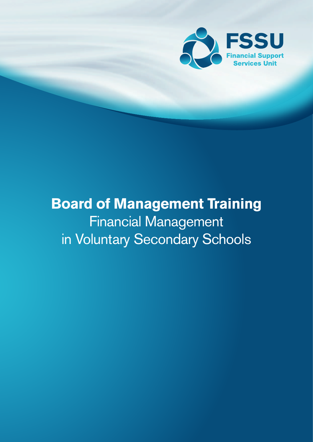

# **Board of Management Training** Financial Management in Voluntary Secondary Schools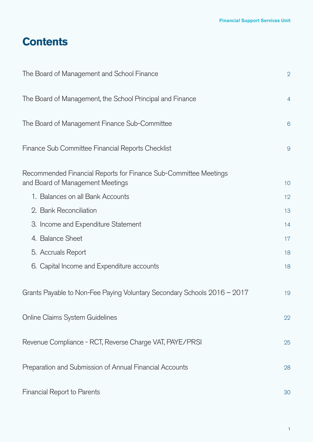## **Contents**

| The Board of Management and School Finance                                                           | $\overline{2}$ |
|------------------------------------------------------------------------------------------------------|----------------|
| The Board of Management, the School Principal and Finance                                            | $\overline{4}$ |
| The Board of Management Finance Sub-Committee                                                        | 6              |
| Finance Sub Committee Financial Reports Checklist                                                    | 9              |
| Recommended Financial Reports for Finance Sub-Committee Meetings<br>and Board of Management Meetings | 10             |
| 1. Balances on all Bank Accounts                                                                     | 12             |
| 2. Bank Reconciliation                                                                               | 13             |
| 3. Income and Expenditure Statement                                                                  | 14             |
| 4. Balance Sheet                                                                                     | 17             |
| 5. Accruals Report                                                                                   | 18             |
| 6. Capital Income and Expenditure accounts                                                           | 18             |
| Grants Payable to Non-Fee Paying Voluntary Secondary Schools 2016 - 2017                             | 19             |
| <b>Online Claims System Guidelines</b>                                                               | 22             |
| Revenue Compliance - RCT, Reverse Charge VAT, PAYE/PRSI                                              | 25             |
| Preparation and Submission of Annual Financial Accounts                                              | 28             |
| <b>Financial Report to Parents</b>                                                                   | 30             |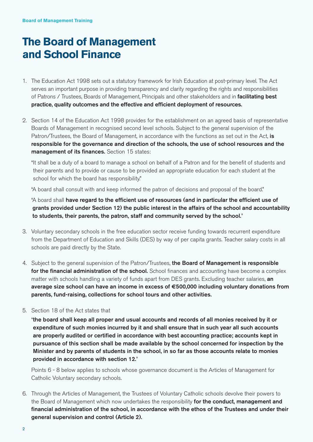## **The Board of Management and School Finance**

- 1. The Education Act 1998 sets out a statutory framework for Irish Education at post-primary level. The Act serves an important purpose in providing transparency and clarity regarding the rights and responsibilities of Patrons / Trustees, Boards of Management, Principals and other stakeholders and in facilitating best practice, quality outcomes and the effective and efficient deployment of resources.
- 2. Section 14 of the Education Act 1998 provides for the establishment on an agreed basis of representative Boards of Management in recognised second level schools. Subject to the general supervision of the Patron/Trustees, the Board of Management, in accordance with the functions as set out in the Act, is responsible for the governance and direction of the schools, the use of school resources and the management of its finances. Section 15 states:

"It shall be a duty of a board to manage a school on behalf of a Patron and for the benefit of students and their parents and to provide or cause to be provided an appropriate education for each student at the school for which the board has responsibility."

"A board shall consult with and keep informed the patron of decisions and proposal of the board."

"A board shall have regard to the efficient use of resources (and in particular the efficient use of grants provided under Section 12) the public interest in the affairs of the school and accountability to students, their parents, the patron, staff and community served by the school."

- 3. Voluntary secondary schools in the free education sector receive funding towards recurrent expenditure from the Department of Education and Skills (DES) by way of per capita grants. Teacher salary costs in all schools are paid directly by the State.
- 4. Subject to the general supervision of the Patron/Trustees, the Board of Management is responsible for the financial administration of the school. School finances and accounting have become a complex matter with schools handling a variety of funds apart from DES grants. Excluding teacher salaries, an average size school can have an income in excess of **€**500,000 including voluntary donations from parents, fund-raising, collections for school tours and other activities.

#### 5. Section 18 of the Act states that

"the board shall keep all proper and usual accounts and records of all monies received by it or expenditure of such monies incurred by it and shall ensure that in such year all such accounts are properly audited or certified in accordance with best accounting practice; accounts kept in pursuance of this section shall be made available by the school concerned for inspection by the Minister and by parents of students in the school, in so far as those accounts relate to monies provided in accordance with section 12."

 Points 6 - 8 below applies to schools whose governance document is the Articles of Management for Catholic Voluntary secondary schools.

6. Through the Articles of Management, the Trustees of Voluntary Catholic schools devolve their powers to the Board of Management which now undertakes the responsibility for the conduct, management and financial administration of the school, in accordance with the ethos of the Trustees and under their general supervision and control (Article 2).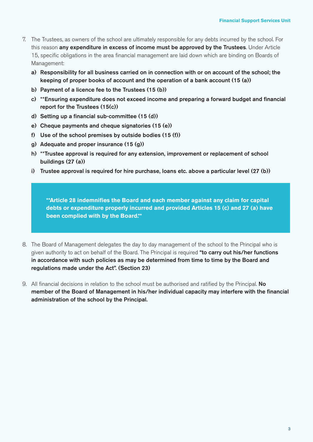- 7. The Trustees, as owners of the school are ultimately responsible for any debts incurred by the school. For this reason any expenditure in excess of income must be approved by the Trustees. Under Article 15, specific obligations in the area financial management are laid down which are binding on Boards of Management:
	- a) Responsibility for all business carried on in connection with or on account of the school; the keeping of proper books of account and the operation of a bank account (15 (a))
	- b) Payment of a licence fee to the Trustees (15 (b))
	- c) \*\*Ensuring expenditure does not exceed income and preparing a forward budget and financial report for the Trustees (15(c))
	- d) Setting up a financial sub-committee (15 (d))
	- e) Cheque payments and cheque signatories (15 (e))
	- f) Use of the school premises by outside bodies (15 (f))
	- g) Adequate and proper insurance (15 (g))
	- h) \*\*Trustee approval is required for any extension, improvement or replacement of school buildings (27 (a))
	- i) Trustee approval is required for hire purchase, loans etc. above a particular level (27 (b))

**\*\*Article 28 indemnifies the Board and each member against any claim for capital debts or expenditure properly incurred and provided Articles 15 (c) and 27 (a) have been complied with by the Board.\*\***

- 8. The Board of Management delegates the day to day management of the school to the Principal who is given authority to act on behalf of the Board. The Principal is required "to carry out his/her functions in accordance with such policies as may be determined from time to time by the Board and regulations made under the Act". (Section 23)
- 9. All financial decisions in relation to the school must be authorised and ratified by the Principal. No member of the Board of Management in his/her individual capacity may interfere with the financial administration of the school by the Principal.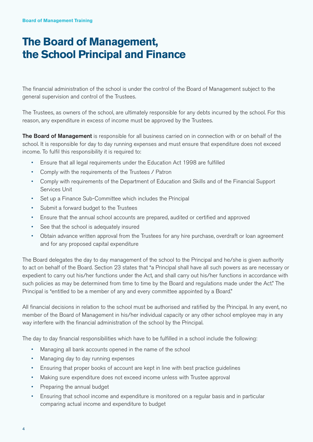## **The Board of Management, the School Principal and Finance**

The financial administration of the school is under the control of the Board of Management subject to the general supervision and control of the Trustees.

The Trustees, as owners of the school, are ultimately responsible for any debts incurred by the school. For this reason, any expenditure in excess of income must be approved by the Trustees.

The Board of Management is responsible for all business carried on in connection with or on behalf of the school. It is responsible for day to day running expenses and must ensure that expenditure does not exceed income. To fulfil this responsibility it is required to:

- Ensure that all legal requirements under the Education Act 1998 are fulfilled
- Comply with the requirements of the Trustees / Patron
- Comply with requirements of the Department of Education and Skills and of the Financial Support Services Unit
- Set up a Finance Sub-Committee which includes the Principal
- Submit a forward budget to the Trustees
- Ensure that the annual school accounts are prepared, audited or certified and approved
- See that the school is adequately insured
- Obtain advance written approval from the Trustees for any hire purchase, overdraft or loan agreement and for any proposed capital expenditure

The Board delegates the day to day management of the school to the Principal and he/she is given authority to act on behalf of the Board. Section 23 states that "a Principal shall have all such powers as are necessary or expedient to carry out his/her functions under the Act, and shall carry out his/her functions in accordance with such policies as may be determined from time to time by the Board and regulations made under the Act." The Principal is "entitled to be a member of any and every committee appointed by a Board."

All financial decisions in relation to the school must be authorised and ratified by the Principal. In any event, no member of the Board of Management in his/her individual capacity or any other school employee may in any way interfere with the financial administration of the school by the Principal.

The day to day financial responsibilities which have to be fulfilled in a school include the following:

- Managing all bank accounts opened in the name of the school
- Managing day to day running expenses
- Ensuring that proper books of account are kept in line with best practice guidelines
- Making sure expenditure does not exceed income unless with Trustee approval
- Preparing the annual budget
- Ensuring that school income and expenditure is monitored on a regular basis and in particular comparing actual income and expenditure to budget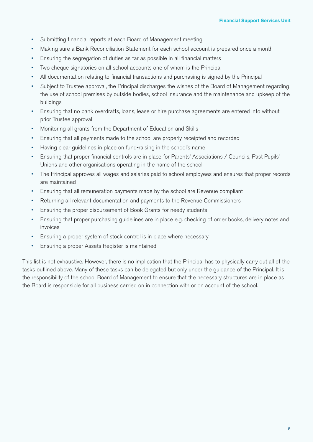- Submitting financial reports at each Board of Management meeting
- Making sure a Bank Reconciliation Statement for each school account is prepared once a month
- Ensuring the segregation of duties as far as possible in all financial matters
- Two cheque signatories on all school accounts one of whom is the Principal
- All documentation relating to financial transactions and purchasing is signed by the Principal
- Subject to Trustee approval, the Principal discharges the wishes of the Board of Management regarding the use of school premises by outside bodies, school insurance and the maintenance and upkeep of the buildings
- Ensuring that no bank overdrafts, loans, lease or hire purchase agreements are entered into without prior Trustee approval
- Monitoring all grants from the Department of Education and Skills
- Ensuring that all payments made to the school are properly receipted and recorded
- Having clear guidelines in place on fund-raising in the school's name
- Ensuring that proper financial controls are in place for Parents' Associations / Councils, Past Pupils' Unions and other organisations operating in the name of the school
- The Principal approves all wages and salaries paid to school employees and ensures that proper records are maintained
- Ensuring that all remuneration payments made by the school are Revenue compliant
- Returning all relevant documentation and payments to the Revenue Commissioners
- Ensuring the proper disbursement of Book Grants for needy students
- Ensuring that proper purchasing guidelines are in place e.g. checking of order books, delivery notes and invoices
- Ensuring a proper system of stock control is in place where necessary
- Ensuring a proper Assets Register is maintained

This list is not exhaustive. However, there is no implication that the Principal has to physically carry out all of the tasks outlined above. Many of these tasks can be delegated but only under the guidance of the Principal. It is the responsibility of the school Board of Management to ensure that the necessary structures are in place as the Board is responsible for all business carried on in connection with or on account of the school.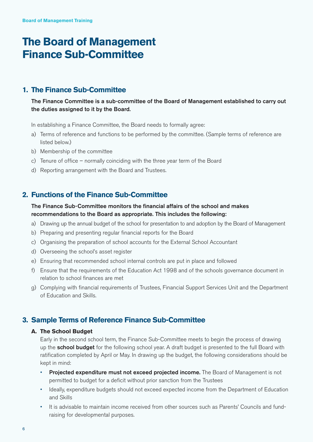## **The Board of Management Finance Sub-Committee**

#### **1. The Finance Sub-Committee**

#### The Finance Committee is a sub-committee of the Board of Management established to carry out the duties assigned to it by the Board.

In establishing a Finance Committee, the Board needs to formally agree:

- a) Terms of reference and functions to be performed by the committee. (Sample terms of reference are listed below.)
- b) Membership of the committee
- c) Tenure of office normally coinciding with the three year term of the Board
- d) Reporting arrangement with the Board and Trustees.

#### **2. Functions of the Finance Sub-Committee**

#### The Finance Sub-Committee monitors the financial affairs of the school and makes recommendations to the Board as appropriate. This includes the following:

- a) Drawing up the annual budget of the school for presentation to and adoption by the Board of Management
- b) Preparing and presenting regular financial reports for the Board
- c) Organising the preparation of school accounts for the External School Accountant
- d) Overseeing the school's asset register
- e) Ensuring that recommended school internal controls are put in place and followed
- f) Ensure that the requirements of the Education Act 1998 and of the schools governance document in relation to school finances are met
- g) Complying with financial requirements of Trustees, Financial Support Services Unit and the Department of Education and Skills.

#### **3. Sample Terms of Reference Finance Sub-Committee**

#### **A. The School Budget**

 Early in the second school term, the Finance Sub-Committee meets to begin the process of drawing up the school budget for the following school year. A draft budget is presented to the full Board with ratification completed by April or May. In drawing up the budget, the following considerations should be kept in mind:

- Projected expenditure must not exceed projected income. The Board of Management is not permitted to budget for a deficit without prior sanction from the Trustees
- Ideally, expenditure budgets should not exceed expected income from the Department of Education and Skills
- It is advisable to maintain income received from other sources such as Parents' Councils and fundraising for developmental purposes.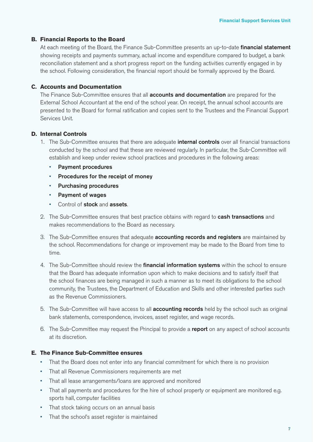#### **B. Financial Reports to the Board**

At each meeting of the Board, the Finance Sub-Committee presents an up-to-date financial statement showing receipts and payments summary, actual income and expenditure compared to budget, a bank reconciliation statement and a short progress report on the funding activities currently engaged in by the school. Following consideration, the financial report should be formally approved by the Board.

#### **C. Accounts and Documentation**

The Finance Sub-Committee ensures that all **accounts and documentation** are prepared for the External School Accountant at the end of the school year. On receipt, the annual school accounts are presented to the Board for formal ratification and copies sent to the Trustees and the Financial Support Services Unit.

#### **D. Internal Controls**

- 1. The Sub-Committee ensures that there are adequate *internal controls* over all financial transactions conducted by the school and that these are reviewed regularly. In particular, the Sub-Committee will establish and keep under review school practices and procedures in the following areas:
	- Payment procedures
	- Procedures for the receipt of money
	- Purchasing procedures
	- Payment of wages
	- Control of stock and assets.
- 2. The Sub-Committee ensures that best practice obtains with regard to cash transactions and makes recommendations to the Board as necessary.
- 3. The Sub-Committee ensures that adequate **accounting records and registers** are maintained by the school. Recommendations for change or improvement may be made to the Board from time to time.
- 4. The Sub-Committee should review the financial information systems within the school to ensure that the Board has adequate information upon which to make decisions and to satisfy itself that the school finances are being managed in such a manner as to meet its obligations to the school community, the Trustees, the Department of Education and Skills and other interested parties such as the Revenue Commissioners.
- 5. The Sub-Committee will have access to all **accounting records** held by the school such as original bank statements, correspondence, invoices, asset register, and wage records.
- 6. The Sub-Committee may request the Principal to provide a report on any aspect of school accounts at its discretion.

#### **E. The Finance Sub-Committee ensures**

- That the Board does not enter into any financial commitment for which there is no provision
- That all Revenue Commissioners requirements are met
- That all lease arrangements/loans are approved and monitored
- That all payments and procedures for the hire of school property or equipment are monitored e.g. sports hall, computer facilities
- That stock taking occurs on an annual basis
- That the school's asset register is maintained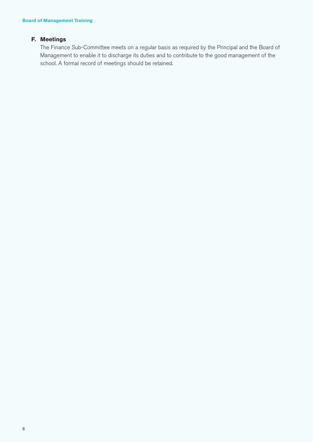#### **F. Meetings**

 The Finance Sub-Committee meets on a regular basis as required by the Principal and the Board of Management to enable it to discharge its duties and to contribute to the good management of the school. A formal record of meetings should be retained.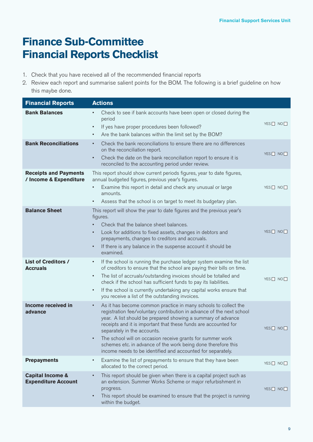## **Finance Sub-Committee Financial Reports Checklist**

- 1. Check that you have received all of the recommended financial reports
- 2. Review each report and summarise salient points for the BOM. The following is a brief guideline on how this maybe done.

| <b>Financial Reports</b>                                  | <b>Actions</b>                                                                                                                                                                                                                                                                                                                                                                                                                                                                                                        |                    |
|-----------------------------------------------------------|-----------------------------------------------------------------------------------------------------------------------------------------------------------------------------------------------------------------------------------------------------------------------------------------------------------------------------------------------------------------------------------------------------------------------------------------------------------------------------------------------------------------------|--------------------|
| <b>Bank Balances</b>                                      | Check to see if bank accounts have been open or closed during the<br>period<br>If yes have proper procedures been followed?<br>$\bullet$<br>Are the bank balances within the limit set by the BOM?<br>$\bullet$                                                                                                                                                                                                                                                                                                       | $YES$ NO $\Box$    |
| <b>Bank Reconciliations</b>                               | Check the bank reconciliations to ensure there are no differences<br>$\bullet$<br>on the reconciliation report.<br>Check the date on the bank reconciliation report to ensure it is<br>$\bullet$<br>reconciled to the accounting period under review.                                                                                                                                                                                                                                                                 | $YES$ NO           |
| <b>Receipts and Payments</b><br>/ Income & Expenditure    | This report should show current periods figures, year to date figures,<br>annual budgeted figures, previous year's figures.<br>Examine this report in detail and check any unusual or large<br>$\bullet$<br>amounts.<br>Assess that the school is on target to meet its budgetary plan.                                                                                                                                                                                                                               | YES□ NO□           |
| <b>Balance Sheet</b>                                      | This report will show the year to date figures and the previous year's<br>figures.<br>Check that the balance sheet balances.<br>Look for additions to fixed assets, changes in debtors and<br>$\bullet$<br>prepayments, changes to creditors and accruals.<br>If there is any balance in the suspense account it should be<br>$\bullet$<br>examined.                                                                                                                                                                  | $YES$ NO           |
| <b>List of Creditors /</b><br><b>Accruals</b>             | If the school is running the purchase ledger system examine the list<br>$\bullet$<br>of creditors to ensure that the school are paying their bills on time.<br>The list of accruals/outstanding invoices should be totalled and<br>$\bullet$<br>check if the school has sufficient funds to pay its liabilities.<br>If the school is currently undertaking any capital works ensure that<br>$\bullet$<br>you receive a list of the outstanding invoices.                                                              | $YES \Box NO \Box$ |
| Income received in<br>advance                             | As it has become common practice in many schools to collect the<br>$\bullet$<br>registration fee/voluntary contribution in advance of the next school<br>year. A list should be prepared showing a summary of advance<br>receipts and it is important that these funds are accounted for<br>separately in the accounts.<br>The school will on occasion receive grants for summer work<br>schemes etc. in advance of the work being done therefore this<br>income needs to be identified and accounted for separately. | YES□ NO□           |
| <b>Prepayments</b>                                        | Examine the list of prepayments to ensure that they have been<br>$\bullet$<br>allocated to the correct period.                                                                                                                                                                                                                                                                                                                                                                                                        | YES□ NO□           |
| <b>Capital Income &amp;</b><br><b>Expenditure Account</b> | This report should be given when there is a capital project such as<br>$\bullet$<br>an extension. Summer Works Scheme or major refurbishment in<br>progress.<br>This report should be examined to ensure that the project is running<br>$\bullet$<br>within the budget.                                                                                                                                                                                                                                               | YES□ NO□           |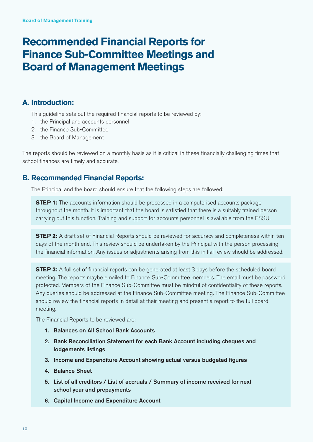## **Recommended Financial Reports for Finance Sub-Committee Meetings and Board of Management Meetings**

#### **A. Introduction:**

This guideline sets out the required financial reports to be reviewed by:

- 1. the Principal and accounts personnel
- 2. the Finance Sub-Committee
- 3. the Board of Management

The reports should be reviewed on a monthly basis as it is critical in these financially challenging times that school finances are timely and accurate.

#### **B. Recommended Financial Reports:**

The Principal and the board should ensure that the following steps are followed:

**STEP 1:** The accounts information should be processed in a computerised accounts package throughout the month. It is important that the board is satisfied that there is a suitably trained person carrying out this function. Training and support for accounts personnel is available from the FSSU.

**STEP 2:** A draft set of Financial Reports should be reviewed for accuracy and completeness within ten days of the month end. This review should be undertaken by the Principal with the person processing the financial information. Any issues or adjustments arising from this initial review should be addressed.

**STEP 3:** A full set of financial reports can be generated at least 3 days before the scheduled board meeting. The reports maybe emailed to Finance Sub-Committee members. The email must be password protected. Members of the Finance Sub-Committee must be mindful of confidentiality of these reports. Any queries should be addressed at the Finance Sub-Committee meeting. The Finance Sub-Committee should review the financial reports in detail at their meeting and present a report to the full board meeting.

The Financial Reports to be reviewed are:

- 1. Balances on All School Bank Accounts
- 2. Bank Reconciliation Statement for each Bank Account including cheques and lodgements listings
- 3. Income and Expenditure Account showing actual versus budgeted figures
- 4. Balance Sheet
- 5. List of all creditors / List of accruals / Summary of income received for next school year and prepayments
- 6. Capital Income and Expenditure Account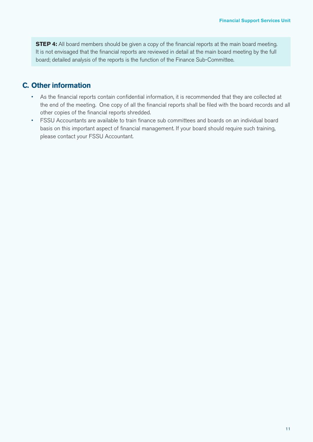**STEP 4:** All board members should be given a copy of the financial reports at the main board meeting. It is not envisaged that the financial reports are reviewed in detail at the main board meeting by the full board; detailed analysis of the reports is the function of the Finance Sub-Committee.

### **C. Other information**

- As the financial reports contain confidential information, it is recommended that they are collected at the end of the meeting. One copy of all the financial reports shall be filed with the board records and all other copies of the financial reports shredded.
- FSSU Accountants are available to train finance sub committees and boards on an individual board basis on this important aspect of financial management. If your board should require such training, please contact your FSSU Accountant.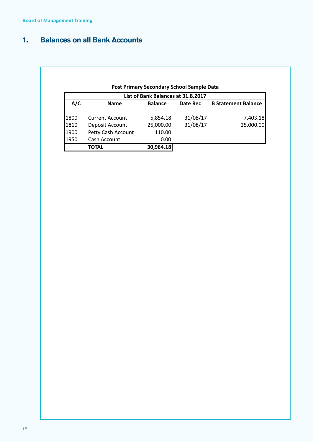### **1. Balances on all Bank Accounts**

|      |                        | List of Bank Balances at 31.8.2017 |          |                            |
|------|------------------------|------------------------------------|----------|----------------------------|
| A/C  | <b>Name</b>            | <b>Balance</b>                     | Date Rec | <b>B Statement Balance</b> |
| 1800 | <b>Current Account</b> | 5,854.18                           | 31/08/17 | 7,403.18                   |
| 1810 | Deposit Account        | 25,000.00                          | 31/08/17 | 25,000.00                  |
| 1900 | Petty Cash Account     | 110.00                             |          |                            |
|      | Cash Account           | 0.00                               |          |                            |
| 1950 | TOTAL                  | 30,964.18                          |          |                            |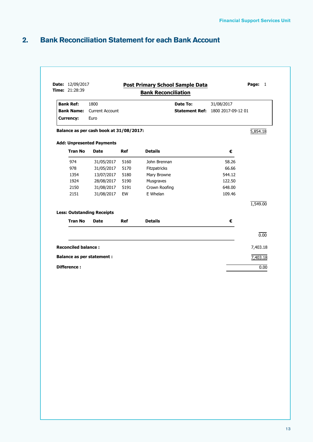### **2. Bank Reconciliation Statement for each Bank Account**

| <b>Bank Ref:</b>                 | 1800                                    |            | Date To:              | 31/08/2017         |                   |
|----------------------------------|-----------------------------------------|------------|-----------------------|--------------------|-------------------|
| <b>Bank Name:</b>                | <b>Current Account</b>                  |            | <b>Statement Ref:</b> | 1800 2017-09-12 01 |                   |
| <b>Currency:</b>                 | Euro                                    |            |                       |                    |                   |
|                                  | Balance as per cash book at 31/08/2017: |            |                       |                    | 5,854.18          |
|                                  | <b>Add: Unpresented Payments</b>        |            |                       |                    |                   |
| <b>Tran No</b>                   | <b>Date</b>                             | <b>Ref</b> | <b>Details</b>        | €                  |                   |
| 974                              | 31/05/2017                              | 5160       | John Brennan          | 58.26              |                   |
| 978                              | 31/05/2017                              | 5170       | Fitzpatricks          | 66.66              |                   |
| 1354                             | 13/07/2017                              | 5180       | Mary Browne           | 544.12             |                   |
| 1924                             | 28/08/2017                              | 5190       | Musgraves             | 122.50             |                   |
| 2150                             | 31/08/2017                              | 5191       | Crown Roofing         | 648.00             |                   |
| 2151                             | 31/08/2017                              | EW         | E Whelan              | 109.46             |                   |
|                                  |                                         |            |                       |                    | 1,549.00          |
|                                  | <b>Less: Outstanding Receipts</b>       |            |                       |                    |                   |
| <b>Tran No</b>                   | <b>Date</b>                             | Ref        | <b>Details</b>        | €                  |                   |
|                                  |                                         |            |                       |                    | $\overline{0.00}$ |
| <b>Reconciled balance:</b>       |                                         |            |                       |                    | 7,403.18          |
| <b>Balance as per statement:</b> |                                         |            |                       |                    | 7,403.18          |
| Difference:                      |                                         |            |                       |                    | 0.00              |
|                                  |                                         |            |                       |                    |                   |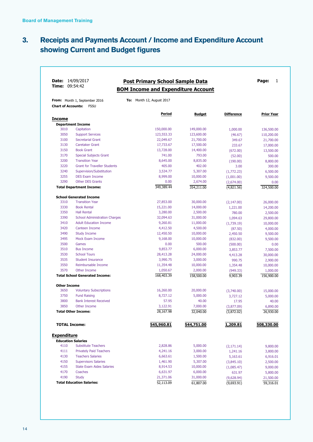### **3. Receipts and Payments Account / Income and Expenditure Account showing Current and Budget figures**

| <b>Time: 09:54:42</b>     |                                                      | <b>Post Primary School Sample Data</b>    |                          |                          |                         |
|---------------------------|------------------------------------------------------|-------------------------------------------|--------------------------|--------------------------|-------------------------|
|                           |                                                      | <b>BOM Income and Expenditure Account</b> |                          |                          |                         |
| <b>Chart of Accounts:</b> | From: Month 1, September 2016<br><b>FSSU</b>         | <b>To:</b> Month 12, August 2017          |                          |                          |                         |
|                           |                                                      | Period                                    | <b>Budget</b>            | <b>Difference</b>        | <u>Prior Year</u>       |
| Income                    |                                                      |                                           |                          |                          |                         |
| 3010                      | <b>Department Income</b>                             |                                           |                          |                          |                         |
| 3050                      | Capitation<br><b>Support Services</b>                | 150,000.00<br>123,553.33                  | 149,000.00<br>123,600.00 | 1,000.00                 | 136,500.00              |
| 3100                      | <b>Secretarial Grant</b>                             | 22,049.67                                 | 21,700.00                | (46.67)<br>349.67        | 110,200.00<br>21,700.00 |
| 3130                      | <b>Caretaker Grant</b>                               | 17,733.67                                 | 17,500.00                | 233.67                   |                         |
| 3150                      | <b>Book Grant</b>                                    | 13,728.00                                 | 14,400.00                | (672.00)                 | 17,000.00<br>13,500.00  |
| 3170                      | <b>Special Subjects Grant</b>                        | 741.00                                    | 793.00                   | (52.00)                  | 500.00                  |
| 3200                      | <b>Transition Year</b>                               | 8,645.00                                  | 8,835.00                 | (190.00)                 | 8,800.00                |
| 3220                      | <b>Grant for Traveller Students</b>                  | 405.00                                    | 402.00                   | 3.00                     | 300.00                  |
| 3240                      | Supervision/Substitution                             | 3,534.77                                  | 5,307.00                 | (1,772.23)               | 6,500.00                |
| 3255                      | <b>DES Exam Income</b>                               | 8,999.00                                  | 10,000.00                | (1,001.00)               | 9,500.00                |
| 3290                      | <b>Other DES Grants</b>                              | 0.00                                      | 2,674.00                 | (2,674.00)               |                         |
|                           | <b>Total Department Income:</b>                      | 349,389.44                                | 354,211.00               | (4,821.56)               | 324,500.00              |
|                           | <b>School Generated Income</b>                       |                                           |                          |                          |                         |
| 3310                      | <b>Transition Year</b>                               | 27,853.00                                 | 30,000.00                | (2,147.00)               | 26,000.00               |
| 3330                      | <b>Book Rental</b>                                   | 15,221.00                                 | 14,000.00                | 1,221.00                 | 14,200.00               |
| 3350                      | <b>Hall Rental</b>                                   | 3,280.00                                  | 2,500.00                 | 780.00                   | 2,500.00                |
| 3390                      | <b>School Administration Charges</b>                 | 32,094.63                                 | 31,000.00                | 1,094.63                 | 29,800.00               |
| 3410                      | <b>Adult Education Income</b>                        | 9,260.81                                  | 11,000.00                | (1,739.19)               | 10,000.00               |
| 3420                      | Canteen Income                                       | 4,412.50                                  | 4,500.00                 | (87.50)                  | 4,000.00                |
| 3490                      | <b>Study Income</b>                                  | 12,450.50                                 | 10,000.00                | 2,450.50                 | 9,500.00                |
| 3495                      | <b>Mock Exam Income</b>                              | 9,168.00                                  | 10,000.00                | (832.00)                 | 9,500.00                |
| 3500                      | Games                                                | 0.00                                      | 500.00                   | (500.00)                 |                         |
| 3510                      | <b>Bus Income</b>                                    | 9,853.77                                  | 6,000.00                 | 3,853.77                 | 7,500.00                |
| 3530                      | <b>School Tours</b>                                  | 28,413.28                                 | 24,000.00                | 4,413.28                 | 30,000.00               |
| 3535                      | <b>Student Insurance</b>                             | 3,990.75                                  | 3,000.00                 | 990.75                   | 2,900.00                |
| 3550                      | Reimbursable Income                                  | 11,354.48                                 | 10,000.00                | 1,354.48                 | 10,000.00               |
| 3570                      | <b>Other Income</b>                                  | 1,050.67                                  | 2,000.00                 | (949.33)                 | 1,000.00                |
|                           | <b>Total School Generated Income:</b>                | 168,403.39                                | 158,500.00               | 9,903.39                 | 156,900.00              |
| <b>Other Income</b>       |                                                      |                                           |                          |                          |                         |
| 3650                      | <b>Voluntary Subscriptions</b>                       | 16,260.00                                 | 20,000.00                | (3,740.00)               | 15,000.00               |
| 3750<br>3800              | <b>Fund Raising</b><br><b>Bank Interest Received</b> | 8,727.12<br>57.95                         | 5,000.00                 | 3,727.12                 | 5,000.00<br>40.00       |
|                           |                                                      |                                           | 40.00                    | 17.95                    |                         |
| 3850                      | Other Income<br><b>Total Other Income:</b>           | 3,122.91<br>28,167.98                     | 7,000.00<br>32,040.00    | (3,877.09)<br>(3,872.02) | 6,890.00<br>26,930.00   |
|                           |                                                      |                                           |                          |                          |                         |
| <b>TOTAL Income:</b>      |                                                      | 545,960.81                                | 544,751.00               | 1,209.81                 | 508,330.00              |
| <b>Expenditure</b>        |                                                      |                                           |                          |                          |                         |
|                           | <b>Education Salaries</b>                            |                                           |                          |                          |                         |
| 4110                      | <b>Substitute Teachers</b>                           | 2,828.86                                  | 5,000.00                 | (2,171.14)               | 9,800.00                |
| 4111                      | <b>Privately Paid Teachers</b>                       | 4,241.16                                  | 3,000.00                 | 1,241.16                 | 3,800.00                |
| 4130                      | <b>Teachers Salaries</b>                             | 6,663.61                                  | 1,500.00                 | 5,163.61                 | 6,916.01                |
| 4150                      | <b>Supervisors Salaries</b>                          | 1,461.90                                  | 5,307.00                 | (3,845.10)               | 2,500.00                |
| 4155                      | <b>State Exam Aides Salaries</b>                     | 8,914.53                                  | 10,000.00                | (1,085.47)               | 9,000.00                |
| 4170                      | Coaches                                              | 6,631.97                                  | 6,000.00                 | 631.97                   | 5,800.00                |
| 4190                      |                                                      |                                           |                          |                          |                         |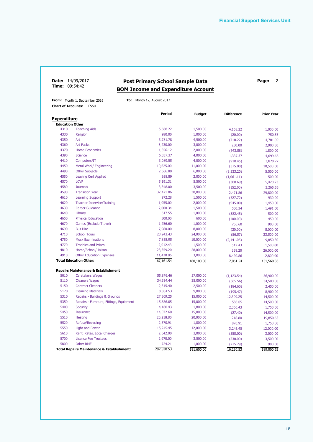**Chart of Accounts:** FSSU

### **Date:** 14/09/2017 **Post Primary School Sample Data Page:** 2<br> **POM Income and Evropsitive Assemt BOM Income and Expenditure Account**

**From:** Month 1, September 2016 **To:** Month 12, August 2017

|                        |                                                | <b>Period</b> | <b>Budget</b> | <b>Difference</b>     | <b>Prior Year</b>    |
|------------------------|------------------------------------------------|---------------|---------------|-----------------------|----------------------|
| <b>Expenditure</b>     |                                                |               |               |                       |                      |
| <b>Education Other</b> |                                                |               |               |                       |                      |
| 4310                   | <b>Teaching Aids</b>                           | 5,668.22      | 1,500.00      | 4,168.22              | 1,000.00             |
| 4330                   | Religion                                       | 980.00        | 1,000.00      | (20.00)               | 750.55               |
| 4350                   | Art                                            | 3,781.78      | 4,500.00      | (718.22)              | 4,781.99             |
| 4360                   | <b>Art Packs</b>                               | 3,230.00      | 3,000.00      | 230.00                | 2,900.30             |
| 4370                   | <b>Home Economics</b>                          | 1,356.12      | 2,000.00      | (643.88)              | 1,800.00             |
| 4390                   | <b>Science</b>                                 | 5,337.37      | 4,000.00      | 1,337.37              | 4,099.66             |
| 4410                   | Computers/IT                                   | 3,089.55      | 4,000.00      | (910.45)              | 3,870.77             |
| 4450                   | Metal Work/ Engineering                        | 10,625.00     | 11,000.00     | (375.00)              | 10,500.00            |
| 4490                   | <b>Other Subjects</b>                          | 2,666.80      | 6,000.00      | (3,333.20)            | 5,500.00             |
| 4550                   | <b>Leaving Cert Applied</b>                    | 938.89        | 2,000.00      | (1,061.11)            | 500.00               |
| 4570                   | <b>LCVP</b>                                    | 5,191.31      | 5,500.00      | (308.69)              | 5,420.23             |
| 4580                   | <b>Journals</b>                                | 3,348.00      | 3,500.00      | (152.00)              | 3,265.56             |
| 4590                   | <b>Transition Year</b>                         | 32,471.86     | 30,000.00     | 2,471.86              | 29,800.00            |
| 4610                   | <b>Learning Support</b>                        | 972.28        | 1,500.00      | (527.72)              | 930.00               |
| 4620                   | <b>Teacher Inservice/Training</b>              | 1,055.00      | 2,000.00      | (945.00)              | 1,450.00             |
| 4630                   | <b>Career Guidance</b>                         | 2,000.34      | 1,500.00      | 500.34                | 1,491.00             |
| 4640                   | Library                                        | 617.55        | 1,000.00      | (382.45)              | 500.00               |
| 4650                   | <b>Physical Education</b>                      | 500.00        | 600.00        | (100.00)              | 450.00               |
| 4670                   | Games (Exclude Travel)                         | 1,756.60      | 1,000.00      | 756.60                | 900.00               |
| 4690                   | <b>Bus Hire</b>                                | 7,980.00      | 8,000.00      | (20.00)               | 8,000.00             |
| 4710                   | <b>School Tours</b>                            | 23,943.43     | 24,000.00     | (56.57)               | 23,500.00            |
| 4750                   | <b>Mock Examinations</b>                       | 7,858.95      | 10,000.00     | (2, 141.05)           | 9,850.30             |
| 4770                   | <b>Trophies and Prizes</b>                     | 2,012.43      | 1,500.00      | 512.43                | 1,500.00             |
| 4810                   | Home/School/Liaison                            | 28,359.20     | 28,000.00     | 359.20                | 26,000.00            |
| 4910                   | <b>Other Education Expenses</b>                | 11,420.86     | 3,000.00      | 8,420.86              | 2,800.00             |
|                        | <b>Total Education Other:</b>                  | 167, 161.54   | 160,100.00    | 7,061.54              | 151,560.36           |
|                        | <b>Repairs Maintenance &amp; Establishment</b> |               |               |                       |                      |
| 5010                   | <b>Caretakers Wages</b>                        | 55,876.46     | 57,000.00     | (1, 123.54)           | 56,900.00            |
| 5110                   | <b>Cleaners Wages</b>                          | 34,334.44     | 35,000.00     | (665.56)              | 34,500.00            |
| 5150                   | <b>Contract Cleaners</b>                       | 2,315.40      | 2,500.00      | (184.60)              | 2,450.00             |
| 5170                   | <b>Cleaning Materials</b>                      | 8,804.53      | 9,000.00      | (195.47)              | 8,900.00             |
| 5310                   | Repairs - Buildings & Grounds                  | 27,309.25     | 15,000.00     | 12,309.25             | 14,500.00            |
| 5350                   | Repairs - Furniture, Fittings, Equipment       | 15,586.05     | 15,000.00     | 586.05                | 14,500.00            |
| 5400                   | <b>Security</b>                                | 4,160.43      | 1,800.00      | 2,360.43              | 1,750.00             |
| 5450                   | <b>Insurance</b>                               | 14,972.60     | 15,000.00     | (27.40)               | 14,500.00            |
| 5510                   | Heating                                        | 20,218.80     | 20,000.00     | 218.80                | 19,850.63            |
| 5520                   | <b>Refuse/Recycling</b>                        | 2,670.91      | 1,800.00      | 870.91                | 1,750.00             |
| 5550                   | <b>Light and Power</b>                         | 15,245.45     | 12,000.00     | 3,245.45              | 12,000.00            |
| 5610                   | Rent, Rates, Local Charges                     | 2,642.00      | 3,000.00      |                       |                      |
| 5700                   | <b>Licence Fee Trustees</b>                    | 2,970.00      | 3,500.00      | (358.00)              | 3,000.00             |
| 5800                   | <b>Other RME</b>                               | 724.21        | 1,000.00      | (530.00)              | 3,500.00             |
|                        |                                                | 207,830.53    | 191,600.00    | (275.79)<br>16,230.53 | 900.00<br>189,000.63 |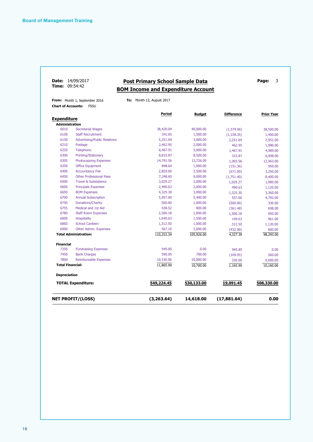**Chart of Accounts:** FSSU

#### **Date:** 14/09/2017 **Post Primary School Sample Data Page:** 3<br> **Time:** 09:54:42 **PAGE: POSE PRIMAGE:** 1. **PAGE:** 1. **PAGE:** 1. **PAGE:** 1. **PAGE:** 1. **PAGE:** 2. **PAGE:** 2. **PAGE:** 2. **PAGE:** 2. **PAGE:** 2. **PAGE:** 2. **PAG BOM Income and Expenditure Account**

**From:** Month 1, September 2016 **To:** Month 12, August 2017

|                         |                                     | <b>Period</b> | <b>Budget</b> | <b>Difference</b> | <b>Prior Year</b> |
|-------------------------|-------------------------------------|---------------|---------------|-------------------|-------------------|
| <b>Expenditure</b>      |                                     |               |               |                   |                   |
| <b>Administration</b>   |                                     |               |               |                   |                   |
| 6010                    | <b>Secretarial Wages</b>            | 38,420.04     | 40,000.00     | (1,579.96)        | 38,500.00         |
| 6100                    | <b>Staff Recruitment</b>            | 341.65        | 1,500.00      | (1, 158.35)       | 1,400.00          |
| 6150                    | <b>Advertising/Public Relations</b> | 5,251.04      | 3,000.00      | 2,251.04          | 2,952.00          |
| 6210                    | Postage                             | 2,462.95      | 2,000.00      | 462.95            | 1,980.00          |
| 6250                    | Telephone                           | 6,467.91      | 5,000.00      | 1,467.91          | 4,989.00          |
| 6300                    | Printing/Stationary                 | 8,815.87      | 8,500.00      | 315.87            | 6,998.00          |
| 6305                    | <b>Photocopying Expenses</b>        | 14,791.56     | 13,726.00     | 1,065.56          | 12,963.00         |
| 6350                    | <b>Office Equipment</b>             | 848.64        | 1,000.00      | (151.36)          | 950.00            |
| 6400                    | <b>Accountancy Fee</b>              | 2,829.00      | 3,500.00      | (671.00)          | 3,250.00          |
| 6450                    | <b>Other Professional Fees</b>      | 7,248.60      | 9,000.00      | (1,751.40)        | 8,400.00          |
| 6500                    | <b>Travel &amp; Subsistence</b>     | 3,029.27      | 2,000.00      | 1,029.27          | 1,980.00          |
| 6600                    | <b>Principals Expenses</b>          | 2,490.63      | 2,000.00      | 490.63            | 1,120.00          |
| 6650                    | <b>BOM Expenses</b>                 | 4,325.30      | 3,000.00      | 1,325.30          | 3,360.00          |
| 6700                    | <b>Annual Subscription</b>          | 5,957.00      | 5,400.00      | 557.00            | 4,792.00          |
| 6750                    | <b>Donations/Charity</b>            | 500.00        | 1,000.00      | (500.00)          | 330.00            |
| 6755                    | Medical and 1st Aid                 | 438.52        | 800.00        | (361.48)          | 698.00            |
| 6780                    | <b>Staff Room Expenses</b>          | 2,506.18      | 1,000.00      | 1,506.18          | 950.00            |
| 6800                    | <b>Hospitality</b>                  | 1,649.63      | 1,500.00      | 149.63            | 961.00            |
| 6860                    | <b>School Canteen</b>               | 1,312.50      | 1,000.00      | 312.50            | 1,120.00          |
| 6900                    | Other Admin. Expenses               | 567.10        | 1,000.00      | (432.90)          | 600.00            |
|                         | <b>Total Administration:</b>        | 110,253.39    | 105,926.00    | 4,327.39          | 98,293.00         |
| <b>Financial</b>        |                                     |               |               |                   |                   |
| 7350                    | <b>Fundraising Expenses</b>         | 945.85        | 0.00          | 945.85            | 0.00              |
| 7450                    | <b>Bank Charges</b>                 | 590.05        | 700.00        | (109.95)          | 560.00            |
| 7800                    | <b>Reimbursable Expenses</b>        | 10,330.00     | 10,000.00     | 330.00            | 9,600.00          |
| <b>Total Financial:</b> |                                     | 11,865.90     | 10,700.00     | 1,165.90          | 10,160.00         |
| <b>Depreciation</b>     |                                     |               |               |                   |                   |
|                         | <b>TOTAL Expenditure:</b>           | 549,224.45    | 530,133.00    | 19,091.45         | 508,330.00        |
|                         | <b>NET PROFIT/(LOSS)</b>            | (3.263.64)    | 14,618.00     | (17, 881.64)      | 0.00              |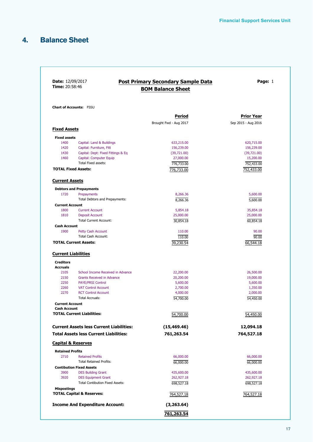### **4. Balance Sheet**

| <b>Date:</b> 12/09/201 |
|------------------------|
| Tima: 20.58.46         |

#### **Date:** 12/09/2017 **Post Primary Secondary Sample Data Page:** 1<br>**POM Balance Sheet Post BOM Balance Sheet**

**Chart of Accounts:** FSSU

|                            |                                                 | Period                 | <b>Prior Year</b>   |
|----------------------------|-------------------------------------------------|------------------------|---------------------|
|                            |                                                 | Brought Fwd - Aug 2017 | Sep 2015 - Aug 2016 |
| <b>Fixed Assets</b>        |                                                 |                        |                     |
| <b>Fixed assets</b>        |                                                 |                        |                     |
| 1400                       | Capital: Land & Buildings                       | 633,215.00             | 620,715.00          |
| 1420                       | Capital: Furniture, Fitt                        | 156,239.00             | 156,239.00          |
| 1430                       | Capital: Dept: Fixed Fittings & Eq              | (39,721.00)            | (39,721.00)         |
| 1460                       | Capital: Computer Equip                         | 27,000.00              | 15,200.00           |
|                            | Total Fixed assets:                             | 776,733.00             | 752,433.00          |
| <b>TOTAL Fixed Assets:</b> |                                                 | 776,733.00             | 752,433.00          |
| <b>Current Assets</b>      |                                                 |                        |                     |
|                            | <b>Debtors and Prepayments</b>                  |                        |                     |
| 1720                       | Prepayments                                     | 8,266.36               | 5,600.00            |
|                            | Total Debtors and Prepayments:                  |                        |                     |
|                            |                                                 | 8,266.36               | 5,600.00            |
| <b>Current Account</b>     |                                                 |                        |                     |
| 1800                       | <b>Current Account</b>                          | 5,854.18               | 35,854.18           |
| 1810                       | <b>Deposit Account</b>                          | 25,000.00              | 25,000.00           |
| <b>Cash Account</b>        | <b>Total Current Account:</b>                   | 30,854.18              | 60,854.18           |
| 1900                       | Petty Cash Account                              | 110.00                 | 90.00               |
|                            | <b>Total Cash Account:</b>                      | 110.00                 | 90.00               |
|                            | <b>TOTAL Current Assets:</b>                    |                        |                     |
|                            |                                                 | 39,230.54              | 66,544.18           |
| <b>Current Liabilities</b> |                                                 |                        |                     |
| <b>Creditors</b>           |                                                 |                        |                     |
| <b>Accruals</b>            |                                                 |                        |                     |
| 2105                       | School Income Received in Advance               | 22,200.00              | 26,500.00           |
| 2150                       | <b>Grants Received in Advance</b>               | 20,200.00              | 19,000.00           |
| 2250                       | <b>PAYE/PRSI Control</b>                        | 5,600.00               | 5,600.00            |
| 2260                       | <b>VAT Control Account</b>                      | 2,700.00               | 1,350.00            |
| 2270                       | <b>RCT Control Account</b>                      | 4,000.00               | 2,000.00            |
|                            | <b>Total Accruals:</b>                          | 54,700.00              | 54,450.00           |
| <b>Current Account</b>     |                                                 |                        |                     |
| <b>Cash Account</b>        | <b>TOTAL Current Liabilities:</b>               | 54,700.00              | 54,450.00           |
|                            |                                                 |                        |                     |
|                            | <b>Current Assets less Current Liabilities:</b> | (15, 469.46)           | 12,094.18           |
|                            | <b>Total Assets less Current Liabilities:</b>   | 761,263.54             | 764,527.18          |
|                            | <b>Capital &amp; Reserves</b>                   |                        |                     |
| <b>Retained Profits</b>    |                                                 |                        |                     |
| 2710                       | <b>Retained Profits</b>                         | 66,000.00              | 66,000.00           |
|                            | <b>Total Retained Profits:</b>                  | 66,000.00              | 66,000.00           |
|                            | <b>Contibution Fixed Assets</b>                 |                        |                     |
| 3900                       | <b>DES Building Grant</b>                       | 435,600.00             | 435,600.00          |
| 3920                       | <b>DES Equipment Grant</b>                      | 262,927.18             | 262,927.18          |
|                            | <b>Total Contibution Fixed Assets:</b>          | 698,527.18             | 698,527.18          |
| Mispostings                |                                                 |                        |                     |
|                            | <b>TOTAL Capital &amp; Reserves:</b>            | 764,527.18             | 764,527.18          |
|                            | <b>Income And Expenditure Account:</b>          | (3, 263.64)            |                     |
|                            |                                                 | 761,263.54             |                     |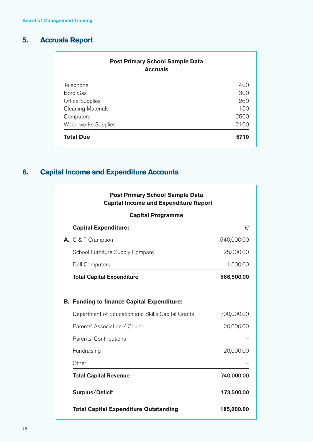### **5. Accruals Report**

| <b>Post Primary School Sample Data</b><br><b>Accruals</b> |      |  |  |
|-----------------------------------------------------------|------|--|--|
| Telephone                                                 | 400  |  |  |
| Bord Gas                                                  | 300  |  |  |
| <b>Office Supplies</b>                                    | 260  |  |  |
| <b>Cleaning Materials</b>                                 | 150  |  |  |
| Computers                                                 | 2500 |  |  |
| Wood works Supplies                                       | 2100 |  |  |
| <b>Total Due</b>                                          | 5710 |  |  |

### **6. Capital Income and Expenditure Accounts**

| <b>Post Primary School Sample Data</b><br><b>Capital Income and Expenditure Report</b> |            |  |  |  |  |
|----------------------------------------------------------------------------------------|------------|--|--|--|--|
| <b>Capital Programme</b>                                                               |            |  |  |  |  |
| <b>Capital Expenditure:</b>                                                            | €          |  |  |  |  |
| A. C & T Cramption                                                                     | 540,000.00 |  |  |  |  |
| School Furniture Supply Company                                                        | 25,000.00  |  |  |  |  |
| <b>Dell Computers</b>                                                                  | 1,500.00   |  |  |  |  |
| <b>Total Capital Expenditure</b>                                                       | 566,500.00 |  |  |  |  |
|                                                                                        |            |  |  |  |  |
| <b>B. Funding to finance Capital Expenditure:</b>                                      |            |  |  |  |  |
| Department of Education and Skills Capital Grants                                      | 700,000.00 |  |  |  |  |
| Parents' Association / Council                                                         | 20,000.00  |  |  |  |  |
| Parents' Contributions                                                                 |            |  |  |  |  |
| Fundraising                                                                            | 20,000.00  |  |  |  |  |
| Other                                                                                  |            |  |  |  |  |
| <b>Total Capital Revenue</b>                                                           | 740,000.00 |  |  |  |  |
| <b>Surplus/Deficit</b>                                                                 | 173,500.00 |  |  |  |  |
| <b>Total Capital Expenditure Outstanding</b>                                           | 185,000.00 |  |  |  |  |

18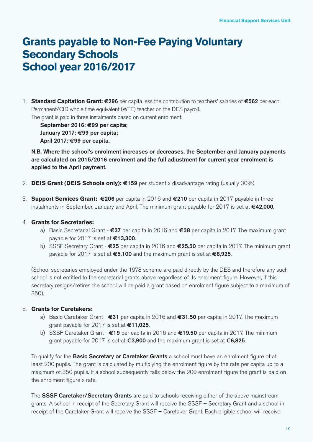### **Grants payable to Non-Fee Paying Voluntary Secondary Schools School year 2016/2017**

1. **Standard Capitation Grant: €**296 per capita less the contribution to teachers' salaries of **€**562 per each Permanent/CID whole time equivalent (WTE) teacher on the DES payroll. The grant is paid in three instalments based on current enrolment:

 September 2016: **€**99 per capita; January 2017: **€**99 per capita; April 2017: **€**99 per capita.

 N.B. Where the school's enrolment increases or decreases, the September and January payments are calculated on 2015/2016 enrolment and the full adjustment for current year enrolment is applied to the April payment.

- 2. **DEIS Grant (DEIS Schools only): €**159 per student x disadvantage rating (usually 30%)
- 3. **Support Services Grant: €**206 per capita in 2016 and **€**210 per capita in 2017 payable in three instalments in September, January and April. The minimum grant payable for 2017 is set at **€**42,000.

#### 4. **Grants for Secretaries:**

- a) Basic Secretarial Grant **€**37 per capita in 2016 and **€**38 per capita in 2017. The maximum grant payable for 2017 is set at **€**13,300.
- b) SSSF Secretary Grant **€**25 per capita in 2016 and **€**25.50 per capita in 2017. The minimum grant payable for 2017 is set at **€**5,100 and the maximum grant is set at **€**8,925.

 (School secretaries employed under the 1978 scheme are paid directly by the DES and therefore any such school is not entitled to the secretarial grants above regardless of its enrolment figure. However, if this secretary resigns/retires the school will be paid a grant based on enrolment figure subject to a maximum of 350).

#### 5. **Grants for Caretakers:**

- a) Basic Caretaker Grant **€**31 per capita in 2016 and **€**31.50 per capita in 2017. The maximum grant payable for 2017 is set at **€**11,025.
- b) SSSF Caretaker Grant **€**19 per capita in 2016 and **€**19.50 per capita in 2017. The minimum grant payable for 2017 is set at **€**3,900 and the maximum grant is set at **€**6,825.

To qualify for the **Basic Secretary or Caretaker Grants** a school must have an enrolment figure of at least 200 pupils. The grant is calculated by multiplying the enrolment figure by the rate per capita up to a maximum of 350 pupils. If a school subsequently falls below the 200 enrolment figure the grant is paid on the enrolment figure x rate.

The **SSSF Caretaker/Secretary Grants** are paid to schools receiving either of the above mainstream grants. A school in receipt of the Secretary Grant will receive the SSSF – Secretary Grant and a school in receipt of the Caretaker Grant will receive the SSSF – Caretaker Grant. Each eligible school will receive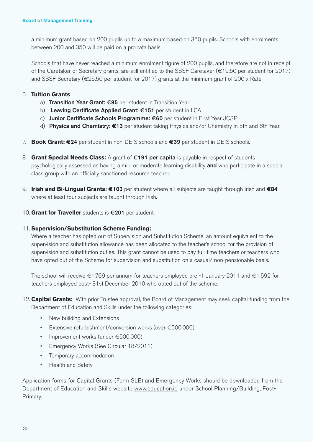a minimum grant based on 200 pupils up to a maximum based on 350 pupils. Schools with enrolments between 200 and 350 will be paid on a pro rata basis.

 Schools that have never reached a minimum enrolment figure of 200 pupils, and therefore are not in receipt of the Caretaker or Secretary grants, are still entitled to the SSSF Caretaker (€19.50 per student for 2017) and SSSF Secretary (€25.50 per student for 2017) grants at the minimum grant of 200 x Rate.

#### 6. **Tuition Grants**

- a) Transition Year Grant: **€**95 per student in Transition Year
- b) Leaving Certificate Applied Grant: **€**151 per student in LCA
- c) Junior Certificate Schools Programme: **€**60 per student in First Year JCSP
- d) Physics and Chemistry: **€**13 per student taking Physics and/or Chemistry in 5th and 6th Year.
- 7. **Book Grant: €**24 per student in non-DEIS schools and **€**39 per student in DEIS schools.
- 8. **Grant Special Needs Class:** A grant of **€**191 per capita is payable in respect of students psychologically assessed as having a mild or moderate learning disability and who participate in a special class group with an officially sanctioned resource teacher.
- 9. **Irish and Bi-Lingual Grants: €**103 per student where all subjects are taught through Irish and **€**84 where at least four subjects are taught through Irish.
- 10. **Grant for Traveller** students is **€**201 per student.

#### 11. **Supervision/Substitution Scheme Funding:**

 Where a teacher has opted out of Supervision and Substitution Scheme, an amount equivalent to the supervision and substitution allowance has been allocated to the teacher's school for the provision of supervision and substitution duties. This grant cannot be used to pay full-time teachers or teachers who have opted out of the Scheme for supervision and substitution on a casual/ non-pensionable basis.

 The school will receive €1,769 per annum for teachers employed pre -1 January 2011 and €1,592 for teachers employed post- 31st December 2010 who opted out of the scheme.

- 12. **Capital Grants:** With prior Trustee approval, the Board of Management may seek capital funding from the Department of Education and Skills under the following categories:
	- New building and Extensions
	- Extensive refurbishment/conversion works (over €500,000)
	- Improvement works (under €500,000)
	- Emergency Works (See Circular 18/2011)
	- Temporary accommodation
	- Health and Safety

Application forms for Capital Grants (Form SLE) and Emergency Works should be downloaded from the Department of Education and Skills website www.education.ie under School Planning/Building, Post-Primary.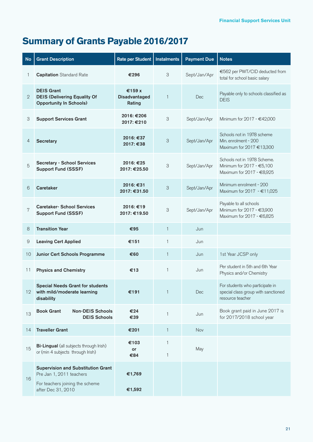## **Summary of Grants Payable 2016/2017**

| <b>No</b>       | <b>Grant Description</b>                                                                                                       | <b>Rate per Student</b>                    | Instalments                  | <b>Payment Due</b> | <b>Notes</b>                                                                               |
|-----------------|--------------------------------------------------------------------------------------------------------------------------------|--------------------------------------------|------------------------------|--------------------|--------------------------------------------------------------------------------------------|
|                 | <b>Capitation</b> Standard Rate                                                                                                | €296                                       | 3                            | Sept/Jan/Apr       | €562 per PWT/CID deducted from<br>total for school basic salary                            |
| $\overline{2}$  | <b>DEIS Grant</b><br><b>DEIS (Delivering Equality Of</b><br><b>Opportunity In Schools)</b>                                     | €159 $x$<br><b>Disadvantaged</b><br>Rating | $\mathbf{1}$                 | Dec                | Payable only to schools classified as<br><b>DEIS</b>                                       |
| 3               | <b>Support Services Grant</b>                                                                                                  | 2016: €206<br>2017: €210                   | 3                            | Sept/Jan/Apr       | Minimum for $2017 - 642,000$                                                               |
| 4               | <b>Secretary</b>                                                                                                               | 2016: €37<br>2017: €38                     | 3                            | Sept/Jan/Apr       | Schools not in 1978 scheme<br>Min. enrolment - 200<br>Maximum for 2017 €13,300             |
| 5               | <b>Secretary - School Services</b><br><b>Support Fund (SSSF)</b>                                                               | 2016: €25<br>2017: €25.50                  | 3                            | Sept/Jan/Apr       | Schools not in 1978 Scheme.<br>Minimum for 2017 - €5,100<br>Maximum for 2017 - €8,925      |
| 6               | <b>Caretaker</b>                                                                                                               | 2016: €31<br>2017: €31.50                  | 3                            | Sept/Jan/Apr       | Minimum enrolment - 200<br>Maximum for 2017 - €11,025                                      |
| 7               | <b>Caretaker- School Services</b><br><b>Support Fund (SSSF)</b>                                                                | 2016: €19<br>2017: €19.50                  | 3                            | Sept/Jan/Apr       | Payable to all schools<br>Minimum for 2017 - €3,900<br>Maximum for 2017 - €6,825           |
| 8               | <b>Transition Year</b>                                                                                                         | €95                                        | $\mathbf{1}$                 | Jun                |                                                                                            |
| 9               | <b>Leaving Cert Applied</b>                                                                                                    | €151                                       | $\mathbf{1}$                 | Jun                |                                                                                            |
| 10              | Junior Cert Schools Programme                                                                                                  | €60                                        | $\mathbf{1}$                 | Jun                | 1st Year JCSP only                                                                         |
| 11              | <b>Physics and Chemistry</b>                                                                                                   | €13                                        | $\mathbf{1}$                 | Jun                | Per student in 5th and 6th Year<br>Physics and/or Chemistry                                |
| 12 <sup>°</sup> | <b>Special Needs Grant for students</b><br>with mild/moderate learning<br>disability                                           | €191                                       | $\mathbf{1}$                 | Dec                | For students who participate in<br>special class group with sanctioned<br>resource teacher |
| 13              | <b>Non-DEIS Schools</b><br><b>Book Grant</b><br><b>DEIS Schools</b>                                                            | €24<br>€39                                 | $\mathbf{1}$                 | Jun                | Book grant paid in June 2017 is<br>for 2017/2018 school year                               |
| 14              | <b>Traveller Grant</b>                                                                                                         | €201                                       | $\mathbf{1}$                 | Nov                |                                                                                            |
| 15              | <b>Bi-Lingual</b> (all subjects through Irish)<br>or (min 4 subjects through Irish)                                            | €103<br>or<br>€84                          | $\mathbf{1}$<br>$\mathbf{1}$ | May                |                                                                                            |
| 16              | <b>Supervision and Substitution Grant</b><br>Pre Jan 1, 2011 teachers<br>For teachers joining the scheme<br>after Dec 31, 2010 | €1,769<br>€1,592                           |                              |                    |                                                                                            |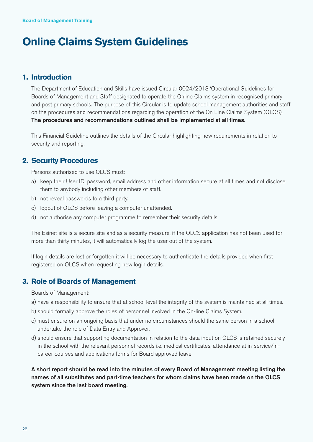## **Online Claims System Guidelines**

#### **1. Introduction**

 The Department of Education and Skills have issued Circular 0024/2013 'Operational Guidelines for Boards of Management and Staff designated to operate the Online Claims system in recognised primary and post primary schools.' The purpose of this Circular is to update school management authorities and staff on the procedures and recommendations regarding the operation of the On Line Claims System (OLCS). The procedures and recommendations outlined shall be implemented at all times.

 This Financial Guideline outlines the details of the Circular highlighting new requirements in relation to security and reporting.

#### **2. Security Procedures**

Persons authorised to use OLCS must:

- a) keep their User ID, password, email address and other information secure at all times and not disclose them to anybody including other members of staff.
- b) not reveal passwords to a third party.
- c) logout of OLCS before leaving a computer unattended.
- d) not authorise any computer programme to remember their security details.

 The Esinet site is a secure site and as a security measure, if the OLCS application has not been used for more than thirty minutes, it will automatically log the user out of the system.

 If login details are lost or forgotten it will be necessary to authenticate the details provided when first registered on OLCS when requesting new login details.

#### **3. Role of Boards of Management**

Boards of Management:

- a) have a responsibility to ensure that at school level the integrity of the system is maintained at all times.
- b) should formally approve the roles of personnel involved in the On-line Claims System.
- c) must ensure on an ongoing basis that under no circumstances should the same person in a school undertake the role of Data Entry and Approver.
- d) should ensure that supporting documentation in relation to the data input on OLCS is retained securely in the school with the relevant personnel records i.e. medical certificates, attendance at in-service/incareer courses and applications forms for Board approved leave.

 A short report should be read into the minutes of every Board of Management meeting listing the names of all substitutes and part-time teachers for whom claims have been made on the OLCS system since the last board meeting.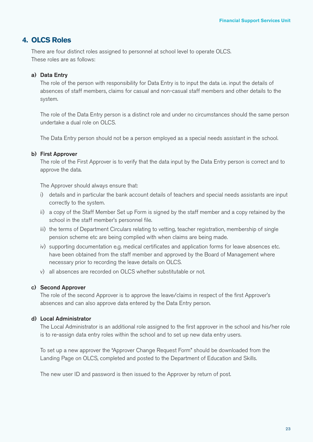#### **4. OLCS Roles**

 There are four distinct roles assigned to personnel at school level to operate OLCS. These roles are as follows:

#### a) Data Entry

 The role of the person with responsibility for Data Entry is to input the data i.e. input the details of absences of staff members, claims for casual and non-casual staff members and other details to the system.

 The role of the Data Entry person is a distinct role and under no circumstances should the same person undertake a dual role on OLCS.

The Data Entry person should not be a person employed as a special needs assistant in the school.

#### b) First Approver

 The role of the First Approver is to verify that the data input by the Data Entry person is correct and to approve the data.

The Approver should always ensure that:

- i) details and in particular the bank account details of teachers and special needs assistants are input correctly to the system.
- ii) a copy of the Staff Member Set up Form is signed by the staff member and a copy retained by the school in the staff member's personnel file.
- iii) the terms of Department Circulars relating to vetting, teacher registration, membership of single pension scheme etc are being complied with when claims are being made.
- iv) supporting documentation e.g. medical certificates and application forms for leave absences etc. have been obtained from the staff member and approved by the Board of Management where necessary prior to recording the leave details on OLCS.
- v) all absences are recorded on OLCS whether substitutable or not.

#### c) Second Approver

 The role of the second Approver is to approve the leave/claims in respect of the first Approver's absences and can also approve data entered by the Data Entry person.

#### d) Local Administrator

 The Local Administrator is an additional role assigned to the first approver in the school and his/her role is to re-assign data entry roles within the school and to set up new data entry users.

 To set up a new approver the "Approver Change Request Form" should be downloaded from the Landing Page on OLCS, completed and posted to the Department of Education and Skills.

The new user ID and password is then issued to the Approver by return of post.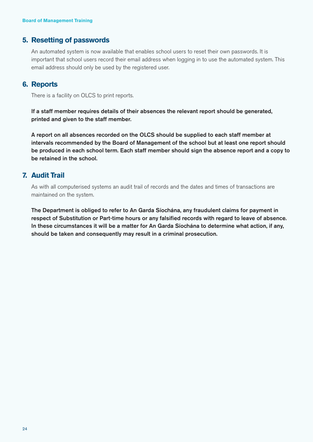#### **5. Resetting of passwords**

 An automated system is now available that enables school users to reset their own passwords. It is important that school users record their email address when logging in to use the automated system. This email address should only be used by the registered user.

#### **6. Reports**

There is a facility on OLCS to print reports.

 If a staff member requires details of their absences the relevant report should be generated, printed and given to the staff member.

 A report on all absences recorded on the OLCS should be supplied to each staff member at intervals recommended by the Board of Management of the school but at least one report should be produced in each school term. Each staff member should sign the absence report and a copy to be retained in the school.

#### **7. Audit Trail**

 As with all computerised systems an audit trail of records and the dates and times of transactions are maintained on the system.

 The Department is obliged to refer to An Garda Síochána, any fraudulent claims for payment in respect of Substitution or Part-time hours or any falsified records with regard to leave of absence. In these circumstances it will be a matter for An Garda Síochána to determine what action, if any, should be taken and consequently may result in a criminal prosecution.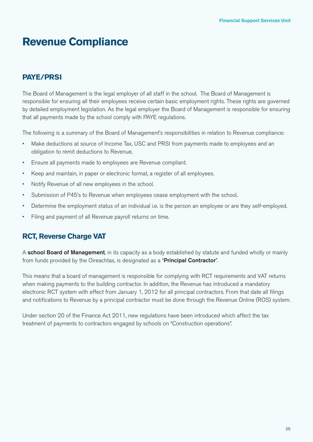## **Revenue Compliance**

### **PAYE/PRSI**

The Board of Management is the legal employer of all staff in the school. The Board of Management is responsible for ensuring all their employees receive certain basic employment rights. These rights are governed by detailed employment legislation. As the legal employer the Board of Management is responsible for ensuring that all payments made by the school comply with PAYE regulations.

The following is a summary of the Board of Management's responsibilities in relation to Revenue compliance:

- Make deductions at source of Income Tax, USC and PRSI from payments made to employees and an obligation to remit deductions to Revenue.
- Ensure all payments made to employees are Revenue compliant.
- Keep and maintain, in paper or electronic format, a register of all employees.
- Notify Revenue of all new employees in the school.
- Submission of P45's to Revenue when employees cease employment with the school.
- Determine the employment status of an individual i.e. is the person an employee or are they self-employed.
- Filing and payment of all Revenue payroll returns on time.

### **RCT, Reverse Charge VAT**

A school Board of Management, in its capacity as a body established by statute and funded wholly or mainly from funds provided by the Oireachtas, is designated as a "Principal Contractor".

This means that a board of management is responsible for complying with RCT requirements and VAT returns when making payments to the building contractor. In addition, the Revenue has introduced a mandatory electronic RCT system with effect from January 1, 2012 for all principal contractors. From that date all filings and notifications to Revenue by a principal contractor must be done through the Revenue Online (ROS) system.

Under section 20 of the Finance Act 2011, new regulations have been introduced which affect the tax treatment of payments to contractors engaged by schools on "Construction operations".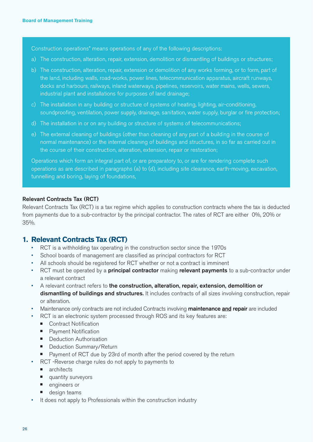Construction operations" means operations of any of the following descriptions:

- a) The construction, alteration, repair, extension, demolition or dismantling of buildings or structures;
- b) The construction, alteration, repair, extension or demolition of any works forming, or to form, part of the land, including walls, road-works, power lines, telecommunication apparatus, aircraft runways, docks and harbours, railways, inland waterways, pipelines, reservoirs, water mains, wells, sewers, industrial plant and installations for purposes of land drainage;
- c) The installation in any building or structure of systems of heating, lighting, air-conditioning, soundproofing, ventilation, power supply, drainage, sanitation, water supply, burglar or fire protection;
- d) The installation in or on any building or structure of systems of telecommunications;
- e) The external cleaning of buildings (other than cleaning of any part of a building in the course of normal maintenance) or the internal cleaning of buildings and structures, in so far as carried out in the course of their construction, alteration, extension, repair or restoration;

Operations which form an integral part of, or are preparatory to, or are for rendering complete such operations as are described in paragraphs (a) to (d), including site clearance, earth-moving, excavation, tunnelling and boring, laying of foundations,

#### Relevant Contracts Tax (RCT)

Relevant Contracts Tax (RCT) is a tax regime which applies to construction contracts where the tax is deducted from payments due to a sub-contractor by the principal contractor. The rates of RCT are either 0%, 20% or 35%.

#### **1. Relevant Contracts Tax (RCT)**

- RCT is a withholding tax operating in the construction sector since the 1970s
- School boards of management are classified as principal contractors for RCT
- All schools should be registered for RCT whether or not a contract is imminent
- RCT must be operated by a **principal contractor** making **relevant payments** to a sub-contractor under a relevant contract
- A relevant contract refers to the construction, alteration, repair, extension, demolition or dismantling of buildings and structures. It includes contracts of all sizes involving construction, repair or alteration.
- Maintenance only contracts are not included Contracts involving maintenance and repair are included
- RCT is an electronic system processed through ROS and its key features are:
	- Contract Notification
	- **•** Payment Notification
	- **•** Deduction Authorisation
	- **•** Deduction Summary/Return
	- Payment of RCT due by 23rd of month after the period covered by the return
- RCT -Reverse charge rules do not apply to payments to
	- **n** architects
	- **quantity surveyors**
	- **n** engineers or
	- $\blacksquare$  design teams
- It does not apply to Professionals within the construction industry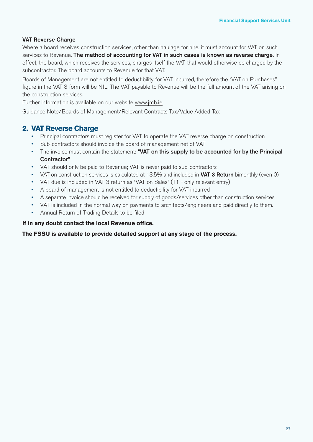#### VAT Reverse Charge

Where a board receives construction services, other than haulage for hire, it must account for VAT on such services to Revenue. The method of accounting for VAT in such cases is known as reverse charge. In effect, the board, which receives the services, charges itself the VAT that would otherwise be charged by the subcontractor. The board accounts to Revenue for that VAT.

Boards of Management are not entitled to deductibility for VAT incurred, therefore the "VAT on Purchases" figure in the VAT 3 form will be NIL. The VAT payable to Revenue will be the full amount of the VAT arising on the construction services.

Further information is available on our website www.jmb.ie

Guidance Note/Boards of Management/Relevant Contracts Tax/Value Added Tax

#### **2. VAT Reverse Charge**

- Principal contractors must register for VAT to operate the VAT reverse charge on construction
- Sub-contractors should invoice the board of management net of VAT
- The invoice must contain the statement: "VAT on this supply to be accounted for by the Principal Contractor"
- VAT should only be paid to Revenue; VAT is never paid to sub-contractors
- VAT on construction services is calculated at 13.5% and included in VAT 3 Return bimonthly (even 0)
- VAT due is included in VAT 3 return as "VAT on Sales" (T1 only relevant entry)
- A board of management is not entitled to deductibility for VAT incurred
- A separate invoice should be received for supply of goods/services other than construction services
- VAT is included in the normal way on payments to architects/engineers and paid directly to them.
- Annual Return of Trading Details to be filed

#### **If in any doubt contact the local Revenue office.**

#### **The FSSU is available to provide detailed support at any stage of the process.**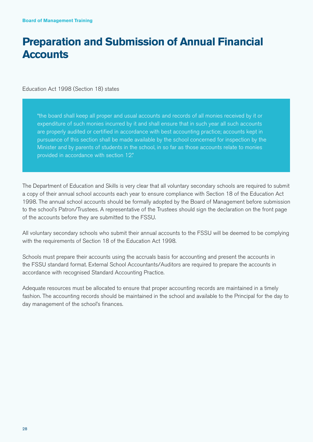## **Preparation and Submission of Annual Financial Accounts**

Education Act 1998 (Section 18) states

"the board shall keep all proper and usual accounts and records of all monies received by it or expenditure of such monies incurred by it and shall ensure that in such year all such accounts are properly audited or certified in accordance with best accounting practice; accounts kept in pursuance of this section shall be made available by the school concerned for inspection by the Minister and by parents of students in the school, in so far as those accounts relate to monies provided in accordance with section 12."

The Department of Education and Skills is very clear that all voluntary secondary schools are required to submit a copy of their annual school accounts each year to ensure compliance with Section 18 of the Education Act 1998. The annual school accounts should be formally adopted by the Board of Management before submission to the school's Patron/Trustees. A representative of the Trustees should sign the declaration on the front page of the accounts before they are submitted to the FSSU.

All voluntary secondary schools who submit their annual accounts to the FSSU will be deemed to be complying with the requirements of Section 18 of the Education Act 1998.

Schools must prepare their accounts using the accruals basis for accounting and present the accounts in the FSSU standard format. External School Accountants/Auditors are required to prepare the accounts in accordance with recognised Standard Accounting Practice.

Adequate resources must be allocated to ensure that proper accounting records are maintained in a timely fashion. The accounting records should be maintained in the school and available to the Principal for the day to day management of the school's finances.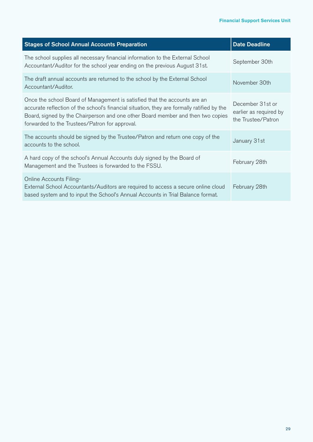| <b>Stages of School Annual Accounts Preparation</b>                                                                                                                                                                                                                                                          | <b>Date Deadline</b>                                             |
|--------------------------------------------------------------------------------------------------------------------------------------------------------------------------------------------------------------------------------------------------------------------------------------------------------------|------------------------------------------------------------------|
| The school supplies all necessary financial information to the External School<br>Accountant/Auditor for the school year ending on the previous August 31st.                                                                                                                                                 | September 30th                                                   |
| The draft annual accounts are returned to the school by the External School<br>Accountant/Auditor.                                                                                                                                                                                                           | November 30th                                                    |
| Once the school Board of Management is satisfied that the accounts are an<br>accurate reflection of the school's financial situation, they are formally ratified by the<br>Board, signed by the Chairperson and one other Board member and then two copies<br>forwarded to the Trustees/Patron for approval. | December 31st or<br>earlier as required by<br>the Trustee/Patron |
| The accounts should be signed by the Trustee/Patron and return one copy of the<br>accounts to the school.                                                                                                                                                                                                    | January 31st                                                     |
| A hard copy of the school's Annual Accounts duly signed by the Board of<br>Management and the Trustees is forwarded to the FSSU.                                                                                                                                                                             | February 28th                                                    |
| Online Accounts Filing-<br>External School Accountants/Auditors are required to access a secure online cloud<br>based system and to input the School's Annual Accounts in Trial Balance format.                                                                                                              | February 28th                                                    |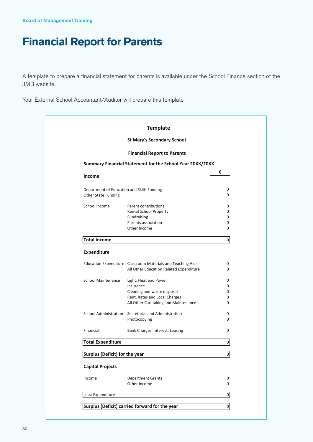## **Financial Report for Parents**

A template to prepare a financial statement for parents is available under the School Finance section of the JMB website.

Your External School Accountant/Auditor will prepare this template.

|                                            | <b>Template</b>                                             |                  |
|--------------------------------------------|-------------------------------------------------------------|------------------|
| <b>St Mary's Secondary School</b>          |                                                             |                  |
|                                            | <b>Financial Report to Parents</b>                          |                  |
|                                            | Summary Financial Statement for the School Year 20XX/20XX   |                  |
| Income                                     |                                                             | €                |
| Department of Education and Skills Funding |                                                             | 0                |
| <b>Other State Funding</b>                 |                                                             | 0                |
| School Income                              | Parent contributions                                        | 0                |
|                                            | Rental School Property                                      | 0                |
|                                            | Fundraising                                                 | 0                |
|                                            | Parents association                                         | 0                |
|                                            | Other Income                                                | 0                |
| <b>Total Income</b>                        |                                                             | $\boldsymbol{0}$ |
| Expenditure                                |                                                             |                  |
|                                            | Education Expenditure Classroom Materials and Teaching Aids | 0                |
|                                            | All Other Education Related Expenditure                     | 0                |
| <b>School Maintenance</b>                  | Light, Heat and Power                                       | 0                |
|                                            | Insurance                                                   | 0                |
|                                            | Cleaning and waste disposal                                 | 0                |
|                                            | Rent, Rates and Local Charges                               | 0                |
|                                            | All Other Caretaking and Maintenance                        | 0                |
|                                            | School Administration Secretarial and Administration        | 0                |
|                                            | Photocopying                                                | 0                |
| Financial                                  | Bank Charges, Interest, Leasing                             | 0                |
| <b>Total Expenditure</b>                   |                                                             | 0                |
| Surplus (Deficit) for the year             |                                                             | $\pmb{0}$        |
| <b>Capital Projects</b>                    |                                                             |                  |
| Income                                     | <b>Department Grants</b>                                    | $\pmb{0}$        |
|                                            | Other Income                                                | 0                |
| Less: Expenditure                          |                                                             | $\boldsymbol{0}$ |